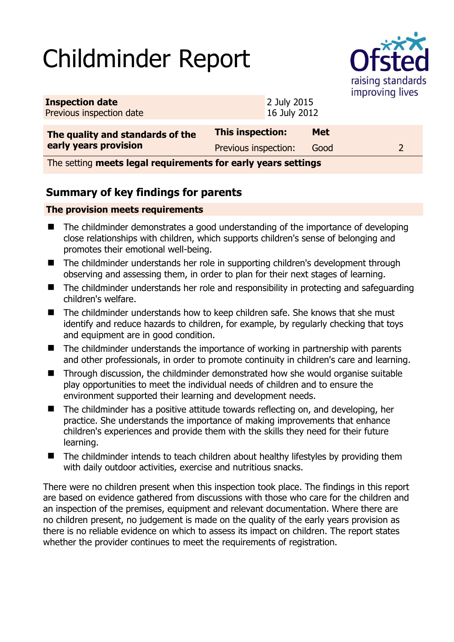# Childminder Report



| <b>Inspection date</b><br>Previous inspection date |                      | 2 July 2015<br>16 July 2012 |            |  |
|----------------------------------------------------|----------------------|-----------------------------|------------|--|
| The quality and standards of the                   | This inspection:     |                             | <b>Met</b> |  |
| early years provision                              | Previous inspection: |                             | Good       |  |

The setting **meets legal requirements for early years settings**

## **Summary of key findings for parents**

#### **The provision meets requirements**

- The childminder demonstrates a good understanding of the importance of developing close relationships with children, which supports children's sense of belonging and promotes their emotional well-being.
- The childminder understands her role in supporting children's development through observing and assessing them, in order to plan for their next stages of learning.
- The childminder understands her role and responsibility in protecting and safeguarding children's welfare.
- The childminder understands how to keep children safe. She knows that she must identify and reduce hazards to children, for example, by regularly checking that toys and equipment are in good condition.
- $\blacksquare$  The childminder understands the importance of working in partnership with parents and other professionals, in order to promote continuity in children's care and learning.
- Through discussion, the childminder demonstrated how she would organise suitable play opportunities to meet the individual needs of children and to ensure the environment supported their learning and development needs.
- The childminder has a positive attitude towards reflecting on, and developing, her practice. She understands the importance of making improvements that enhance children's experiences and provide them with the skills they need for their future learning.
- The childminder intends to teach children about healthy lifestyles by providing them with daily outdoor activities, exercise and nutritious snacks.

There were no children present when this inspection took place. The findings in this report are based on evidence gathered from discussions with those who care for the children and an inspection of the premises, equipment and relevant documentation. Where there are no children present, no judgement is made on the quality of the early years provision as there is no reliable evidence on which to assess its impact on children. The report states whether the provider continues to meet the requirements of registration.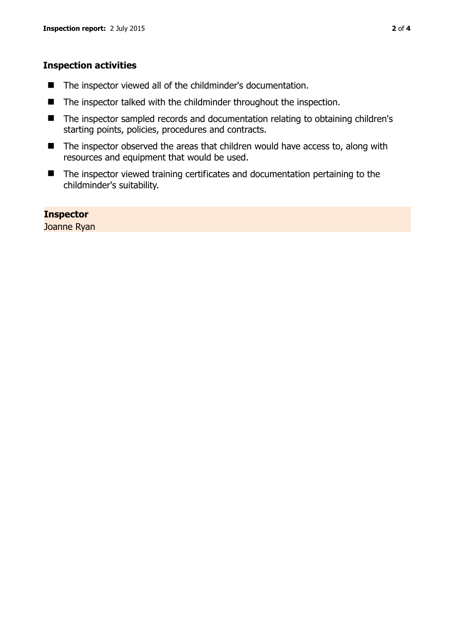#### **Inspection activities**

- The inspector viewed all of the childminder's documentation.
- The inspector talked with the childminder throughout the inspection.
- The inspector sampled records and documentation relating to obtaining children's starting points, policies, procedures and contracts.
- $\blacksquare$  The inspector observed the areas that children would have access to, along with resources and equipment that would be used.
- The inspector viewed training certificates and documentation pertaining to the childminder's suitability.

**Inspector**  Joanne Ryan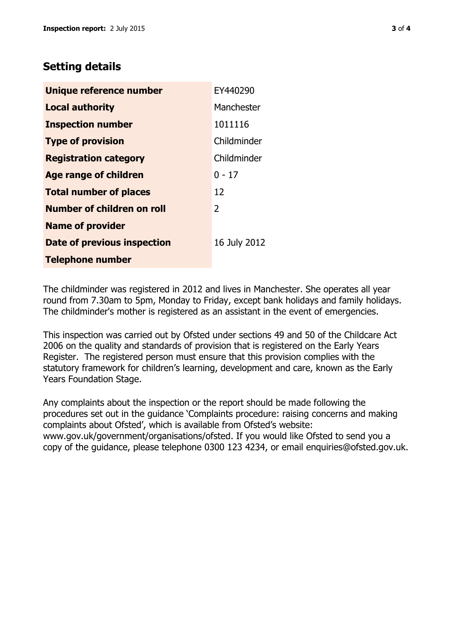### **Setting details**

| Unique reference number       | EY440290       |
|-------------------------------|----------------|
| <b>Local authority</b>        | Manchester     |
| <b>Inspection number</b>      | 1011116        |
| <b>Type of provision</b>      | Childminder    |
| <b>Registration category</b>  | Childminder    |
| <b>Age range of children</b>  | $0 - 17$       |
| <b>Total number of places</b> | 12             |
| Number of children on roll    | $\overline{2}$ |
| <b>Name of provider</b>       |                |
| Date of previous inspection   | 16 July 2012   |
| <b>Telephone number</b>       |                |

The childminder was registered in 2012 and lives in Manchester. She operates all year round from 7.30am to 5pm, Monday to Friday, except bank holidays and family holidays. The childminder's mother is registered as an assistant in the event of emergencies.

This inspection was carried out by Ofsted under sections 49 and 50 of the Childcare Act 2006 on the quality and standards of provision that is registered on the Early Years Register. The registered person must ensure that this provision complies with the statutory framework for children's learning, development and care, known as the Early Years Foundation Stage.

Any complaints about the inspection or the report should be made following the procedures set out in the guidance 'Complaints procedure: raising concerns and making complaints about Ofsted', which is available from Ofsted's website: www.gov.uk/government/organisations/ofsted. If you would like Ofsted to send you a copy of the guidance, please telephone 0300 123 4234, or email enquiries@ofsted.gov.uk.